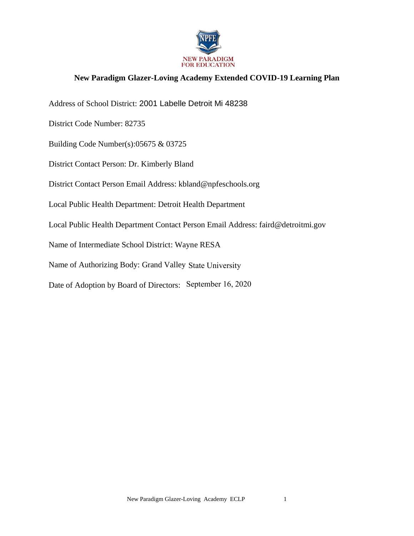

## **New Paradigm Glazer-Loving Academy Extended COVID-19 Learning Plan**

Address of School District: 2001 Labelle Detroit Mi 48238

District Code Number: 82735

Building Code Number(s):05675 & 03725

District Contact Person: Dr. Kimberly Bland

District Contact Person Email Address: kbland@npfeschools.org

Local Public Health Department: Detroit Health Department

Local Public Health Department Contact Person Email Address: faird@detroitmi.gov

Name of Intermediate School District: Wayne RESA

Name of Authorizing Body: Grand Valley State University

Date of Adoption by Board of Directors: September 16, 2020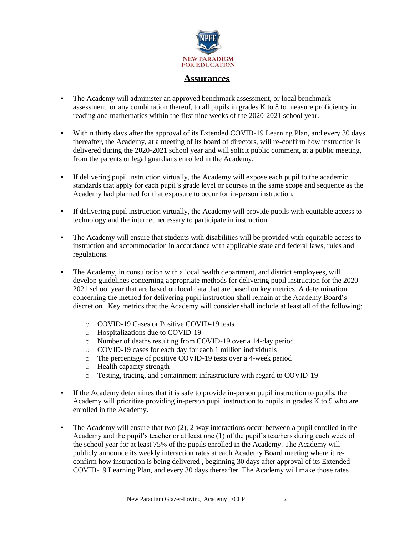

#### **Assurances**

- $\blacksquare$ The Academy will administer an approved benchmark assessment, or local benchmark assessment, or any combination thereof, to all pupils in grades K to 8 to measure proficiency in reading and mathematics within the first nine weeks of the 2020-2021 school year.
- $\blacksquare$ Within thirty days after the approval of its Extended COVID-19 Learning Plan, and every 30 days thereafter, the Academy, at a meeting of its board of directors, will re-confirm how instruction is delivered during the 2020-2021 school year and will solicit public comment, at a public meeting, from the parents or legal guardians enrolled in the Academy.
- If delivering pupil instruction virtually, the Academy will expose each pupil to the academic a. standards that apply for each pupil's grade level or courses in the same scope and sequence as the Academy had planned for that exposure to occur for in-person instruction.
- $\mathbf{r}^{\prime}$ If delivering pupil instruction virtually, the Academy will provide pupils with equitable access to technology and the internet necessary to participate in instruction.
- $\blacksquare$ The Academy will ensure that students with disabilities will be provided with equitable access to instruction and accommodation in accordance with applicable state and federal laws, rules and regulations.
- The Academy, in consultation with a local health department, and district employees, will  $\blacksquare$ develop guidelines concerning appropriate methods for delivering pupil instruction for the 2020-2021 school year that are based on local data that are based on key metrics. A determination concerning the method for delivering pupil instruction shall remain at the Academy Board's discretion. Key metrics that the Academy will consider shall include at least all of the following:
	- o COVID-19 Cases or Positive COVID-19 tests
	- Hospitalizations due to COVID-19  $\circ$
	- o Number of deaths resulting from COVID-19 over a 14-day period
	- o COVID-19 cases for each day for each 1 million individuals
	- o The percentage of positive COVID-19 tests over a 4-week period
	- o Health capacity strength
	- $\circ$ Testing, tracing, and containment infrastructure with regard to COVID-19
- $\blacksquare$ If the Academy determines that it is safe to provide in-person pupil instruction to pupils, the Academy will prioritize providing in-person pupil instruction to pupils in grades K to 5 who are enrolled in the Academy.
- $\blacksquare$ The Academy will ensure that two  $(2)$ , 2-way interactions occur between a pupil enrolled in the Academy and the pupil's teacher or at least one (1) of the pupil's teachers during each week of the school year for at least 75% of the pupils enrolled in the Academy. The Academy will publicly announce its weekly interaction rates at each Academy Board meeting where it reconfirm how instruction is being delivered, beginning 30 days after approval of its Extended COVID-19 Learning Plan, and every 30 days thereafter. The Academy will make those rates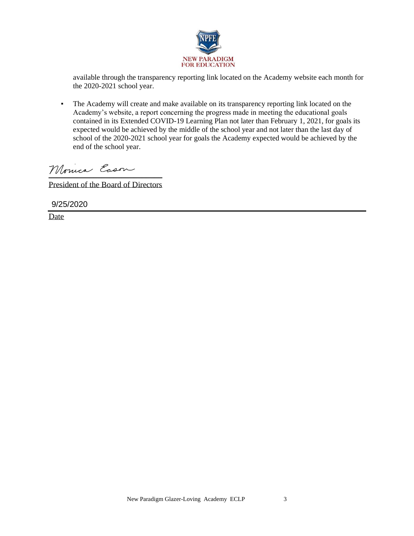

available through the transparency reporting link located on the Academy website each month for the 2020-2021 school year.

▪ The Academy will create and make available on its transparency reporting link located on the Academy's website, a report concerning the progress made in meeting the educational goals contained in its Extended COVID-19 Learning Plan not later than February 1, 2021, for goals its expected would be achieved by the middle of the school year and not later than the last day of school of the 2020-2021 school year for goals the Academy expected would be achieved by the end of the school year.

Monica Eason

President of the Board of Directors

9/25/2020

Date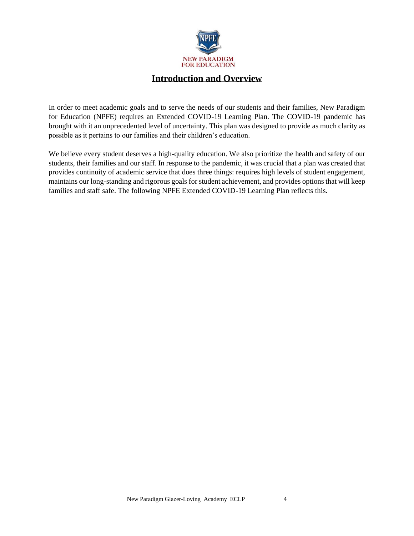

## **Introduction and Overview**

In order to meet academic goals and to serve the needs of our students and their families, New Paradigm for Education (NPFE) requires an Extended COVID-19 Learning Plan. The COVID-19 pandemic has brought with it an unprecedented level of uncertainty. This plan was designed to provide as much clarity as possible as it pertains to our families and their children's education.

We believe every student deserves a high-quality education. We also prioritize the health and safety of our students, their families and our staff. In response to the pandemic, it was crucial that a plan was created that provides continuity of academic service that does three things: requires high levels of student engagement, maintains our long-standing and rigorous goals for student achievement, and provides options that will keep families and staff safe. The following NPFE Extended COVID-19 Learning Plan reflects this.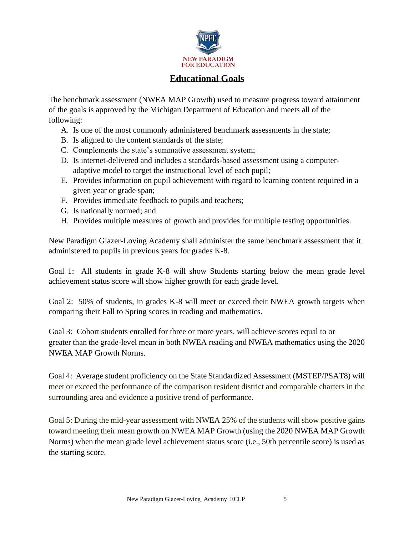

## **Educational Goals**

The benchmark assessment (NWEA MAP Growth) used to measure progress toward attainment of the goals is approved by the Michigan Department of Education and meets all of the following:

- A. Is one of the most commonly administered benchmark assessments in the state;
- B. Is aligned to the content standards of the state;
- C. Complements the state's summative assessment system;
- D. Is internet-delivered and includes a standards-based assessment using a computeradaptive model to target the instructional level of each pupil;
- E. Provides information on pupil achievement with regard to learning content required in a given year or grade span;
- F. Provides immediate feedback to pupils and teachers;
- G. Is nationally normed; and
- H. Provides multiple measures of growth and provides for multiple testing opportunities.

New Paradigm Glazer-Loving Academy shall administer the same benchmark assessment that it administered to pupils in previous years for grades K-8.

Goal 1: All students in grade K-8 will show Students starting below the mean grade level achievement status score will show higher growth for each grade level.

Goal 2: 50% of students, in grades K-8 will meet or exceed their NWEA growth targets when comparing their Fall to Spring scores in reading and mathematics.

Goal 3: Cohort students enrolled for three or more years, will achieve scores equal to or greater than the grade-level mean in both NWEA reading and NWEA mathematics using the 2020 NWEA MAP Growth Norms.

Goal 4: Average student proficiency on the State Standardized Assessment (MSTEP/PSAT8) will meet or exceed the performance of the comparison resident district and comparable charters in the surrounding area and evidence a positive trend of performance.

Goal 5: During the mid-year assessment with NWEA 25% of the students will show positive gains toward meeting their mean growth on NWEA MAP Growth (using the 2020 NWEA MAP Growth Norms) when the mean grade level achievement status score (i.e., 50th percentile score) is used as the starting score.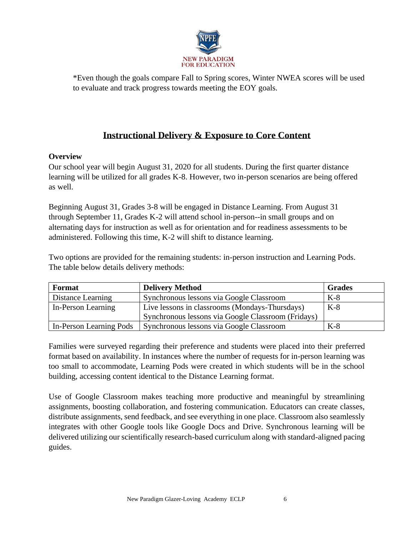

\*Even though the goals compare Fall to Spring scores, Winter NWEA scores will be used to evaluate and track progress towards meeting the EOY goals.

# **Instructional Delivery & Exposure to Core Content**

### **Overview**

Our school year will begin August 31, 2020 for all students. During the first quarter distance learning will be utilized for all grades K-8. However, two in-person scenarios are being offered as well.

Beginning August 31, Grades 3-8 will be engaged in Distance Learning. From August 31 through September 11, Grades K-2 will attend school in-person--in small groups and on alternating days for instruction as well as for orientation and for readiness assessments to be administered. Following this time, K-2 will shift to distance learning.

Two options are provided for the remaining students: in-person instruction and Learning Pods. The table below details delivery methods:

| Format                  | <b>Delivery Method</b>                             | <b>Grades</b> |
|-------------------------|----------------------------------------------------|---------------|
| Distance Learning       | Synchronous lessons via Google Classroom           | $K-8$         |
| In-Person Learning      | Live lessons in classrooms (Mondays-Thursdays)     | $K-8$         |
|                         | Synchronous lessons via Google Classroom (Fridays) |               |
| In-Person Learning Pods | Synchronous lessons via Google Classroom           | $K-8$         |

Families were surveyed regarding their preference and students were placed into their preferred format based on availability. In instances where the number of requests for in-person learning was too small to accommodate, Learning Pods were created in which students will be in the school building, accessing content identical to the Distance Learning format.

Use of Google Classroom makes teaching more productive and meaningful by streamlining assignments, boosting collaboration, and fostering communication. Educators can create classes, distribute assignments, send feedback, and see everything in one place. Classroom also seamlessly integrates with other Google tools like Google Docs and Drive. Synchronous learning will be delivered utilizing our scientifically research-based curriculum along with standard-aligned pacing guides.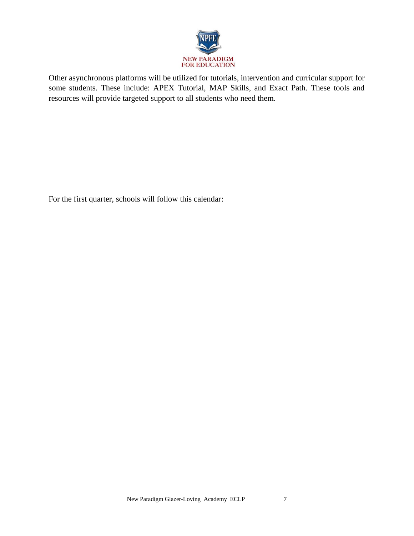

Other asynchronous platforms will be utilized for tutorials, intervention and curricular support for some students. These include: APEX Tutorial, MAP Skills, and Exact Path. These tools and resources will provide targeted support to all students who need them.

For the first quarter, schools will follow this calendar: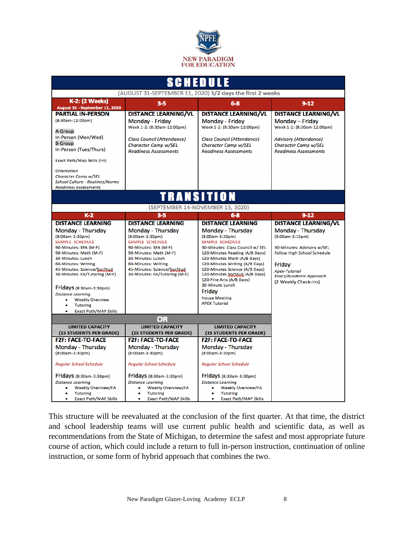

| SCHEDULE                                                               |                                                      |                                                                  |                                                        |  |
|------------------------------------------------------------------------|------------------------------------------------------|------------------------------------------------------------------|--------------------------------------------------------|--|
| (AUGUST 31-SEPTEMBER 11, 2020) 1/2 days the first 2 weeks              |                                                      |                                                                  |                                                        |  |
| <b>K-2: (2 Weeks)</b><br>August 31 - September 11, 2020                | $3 - 5$                                              | $6-8$                                                            | $9 - 12$                                               |  |
| <b>PARTIAL IN-PERSON</b>                                               | <b>DISTANCE LEARNING/VL</b>                          | <b>DISTANCE LEARNING/VL</b>                                      | <b>DISTANCE LEARNING/VL</b>                            |  |
| (8:30am-12:00pm)                                                       | Monday - Friday                                      | Monday - Friday                                                  | Monday - Friday                                        |  |
| A-Group                                                                | Week 1-2: (8:30am-12:00pm)                           | Week 1-2: (8:30am-12:00pm)                                       | Week 1-2: (8:30am-12:00pm)                             |  |
| In-Person (Mon/Wed)                                                    | <b>Class Council (Attendance)</b>                    | <b>Class Council (Attendance)</b>                                | <b>Advisory (Attendance)</b>                           |  |
| <b>B-Group</b><br>In-Person (Tues/Thurs)                               | <b>Character Camp w/SEL</b>                          | Character Camp w/SEL                                             | Character Camp w/SEL                                   |  |
|                                                                        | <b>Readiness Assessments</b>                         | <b>Readiness Assessments</b>                                     | <b>Readiness Assessments</b>                           |  |
| Exact Path/Map Skills (Fri)                                            |                                                      |                                                                  |                                                        |  |
| <b>Orientation</b>                                                     |                                                      |                                                                  |                                                        |  |
| Character Camp w/SEL                                                   |                                                      |                                                                  |                                                        |  |
| <b>School Culture - Routines/Norms</b><br><b>Readiness assessments</b> |                                                      |                                                                  |                                                        |  |
| TRANSITION                                                             |                                                      |                                                                  |                                                        |  |
|                                                                        |                                                      | (SEPTEMBER 14-NOVEMBER 13, 2020)                                 |                                                        |  |
| $K-2$                                                                  | $3 - 5$                                              | $6-8$                                                            | $9 - 12$                                               |  |
| <b>DISTANCE LEARNING</b>                                               | <b>DISTANCE LEARNING</b>                             | <b>DISTANCE LEARNING</b>                                         | <b>DISTANCE LEARNING/VL</b>                            |  |
| Monday - Thursday                                                      | Monday - Thursday                                    | Monday - Thursday                                                | Monday - Thursday                                      |  |
| (8:00am-3:30pm)<br><b>SAMPLE SCHEDULE</b>                              | (8:00am-3:30pm)<br><b>SAMPLE SCHEDULE</b>            | (8:00am-3:30pm)<br><b>SAMPLE SCHEDULE</b>                        | (8:00am-3:15pm)                                        |  |
| 90-Minutes: SFA (M-F)                                                  | 90-Minutes: SFA (M-F)                                | 30-Minutes: Class Council w/ SEL                                 | 30-Minutes: Advisory w/SEL                             |  |
| 90-Minutes: Math (M-F)                                                 | 90-Minutes: Math (M-F)                               | 120-Minutes Reading (A/B Days)                                   | <b>Follow High School Schedule</b>                     |  |
| 30-Minutes: Lunch                                                      | 30-Minutes: Lunch                                    | 120-Minutes Math (A/B Days)                                      |                                                        |  |
| 60-Minutes: Writing<br>45-Minutes: Science/SocStud                     | 60-Minutes: Writing<br>45-Minutes: Science/SocStud   | 120-Minutes Writing (A/B Days)<br>120-Minutes Science (A/B Days) | Friday                                                 |  |
| 30-Minutes: FA/Tutoring (M-F)                                          | 30-Minutes: FA/Tutoring (M-F)                        | 120-Minutes SocStud (A/B Days)                                   | <b>Apex-Tutorial</b><br><b>Enact/Academic Approach</b> |  |
|                                                                        |                                                      | 120-Fine Arts (A/B Days)                                         | (2 Weekly Check-Ins)                                   |  |
| Fridays (8:30am-3:30pm)                                                |                                                      | 30-Minute Lunch                                                  |                                                        |  |
| <b>Distance Learning</b>                                               |                                                      | Friday<br><b>House Meeting</b>                                   |                                                        |  |
| <b>Weekly Overview</b>                                                 |                                                      | <b>APEX Tutorial</b>                                             |                                                        |  |
| <b>Tutoring</b><br><b>Exact Path/MAP Skills</b>                        |                                                      |                                                                  |                                                        |  |
| OR                                                                     |                                                      |                                                                  |                                                        |  |
| <b>LIMITED CAPACITY</b>                                                | <b>LIMITED CAPACITY</b>                              | <b>LIMITED CAPACITY</b>                                          |                                                        |  |
| (15 STUDENTS PER GRADE)                                                | (15 STUDENTS PER GRADE)                              | (15 STUDENTS PER GRADE)                                          |                                                        |  |
| <b>F2F: FACE-TO-FACE</b>                                               | <b>F2F: FACE-TO-FACE</b>                             | <b>F2F: FACE-TO-FACE</b>                                         |                                                        |  |
| Monday - Thursday                                                      | Monday - Thursday                                    | Monday - Thursday                                                |                                                        |  |
| (8:00am-3:30pm)                                                        | (8:00am-3:30pm)                                      | (8:00am-3:30pm)                                                  |                                                        |  |
| <b>Regular School Schedule</b>                                         | Regular School Schedule                              | Regular School Schedule                                          |                                                        |  |
| Fridays (8:30am-3:30pm)                                                | Fridays (8:30am-3:30pm)                              | $Fridays$ (8:30am-3:30pm)                                        |                                                        |  |
| <b>Distance Learning</b>                                               | <b>Distance Learning</b>                             | <b>Distance Learning</b>                                         |                                                        |  |
| <b>Weekly Overview/FA</b>                                              | <b>Weekly Overview/FA</b>                            | <b>Weekly Overview/FA</b>                                        |                                                        |  |
| <b>Tutoring</b><br><b>Exact Path/MAP Skills</b>                        | <b>Tutoring</b><br><b>Exact Path/MAP Skills</b><br>۰ | <b>Tutoring</b><br><b>Exact Path/MAP Skills</b><br>٠             |                                                        |  |

This structure will be reevaluated at the conclusion of the first quarter. At that time, the district and school leadership teams will use current public health and scientific data, as well as recommendations from the State of Michigan, to determine the safest and most appropriate future course of action, which could include a return to full in-person instruction, continuation of online instruction, or some form of hybrid approach that combines the two.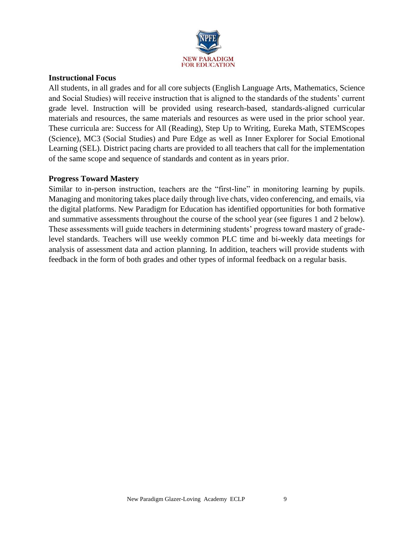

### **Instructional Focus**

All students, in all grades and for all core subjects (English Language Arts, Mathematics, Science and Social Studies) will receive instruction that is aligned to the standards of the students' current grade level. Instruction will be provided using research-based, standards-aligned curricular materials and resources, the same materials and resources as were used in the prior school year. These curricula are: Success for All (Reading), Step Up to Writing, Eureka Math, STEMScopes (Science), MC3 (Social Studies) and Pure Edge as well as Inner Explorer for Social Emotional Learning (SEL). District pacing charts are provided to all teachers that call for the implementation of the same scope and sequence of standards and content as in years prior.

#### **Progress Toward Mastery**

Similar to in-person instruction, teachers are the "first-line" in monitoring learning by pupils. Managing and monitoring takes place daily through live chats, video conferencing, and emails, via the digital platforms. New Paradigm for Education has identified opportunities for both formative and summative assessments throughout the course of the school year (see figures 1 and 2 below). These assessments will guide teachers in determining students' progress toward mastery of gradelevel standards. Teachers will use weekly common PLC time and bi-weekly data meetings for analysis of assessment data and action planning. In addition, teachers will provide students with feedback in the form of both grades and other types of informal feedback on a regular basis.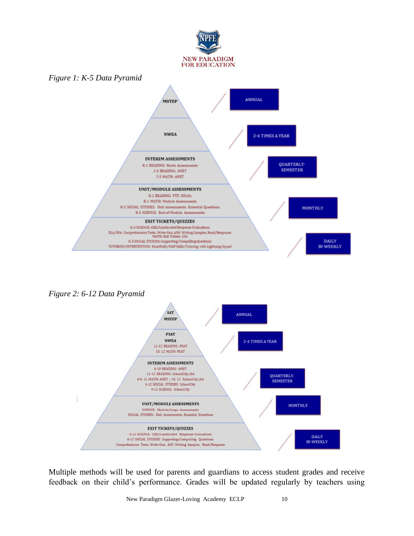

*Figure 2: 6-12 Data Pyramid*



Multiple methods will be used for parents and guardians to access student grades and receive feedback on their child's performance. Grades will be updated regularly by teachers using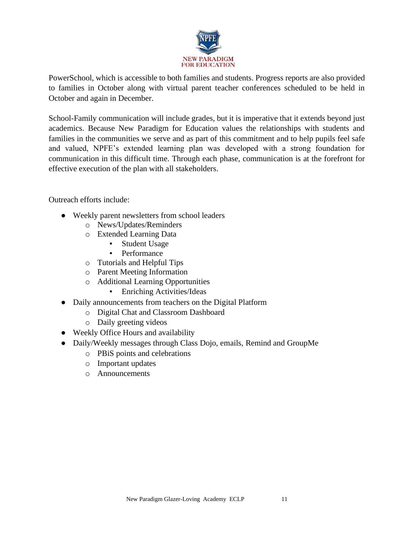

PowerSchool, which is accessible to both families and students. Progress reports are also provided to families in October along with virtual parent teacher conferences scheduled to be held in October and again in December.

School-Family communication will include grades, but it is imperative that it extends beyond just academics. Because New Paradigm for Education values the relationships with students and families in the communities we serve and as part of this commitment and to help pupils feel safe and valued, NPFE's extended learning plan was developed with a strong foundation for communication in this difficult time. Through each phase, communication is at the forefront for effective execution of the plan with all stakeholders.

Outreach efforts include:

- Weekly parent newsletters from school leaders
	- o News/Updates/Reminders
	- o Extended Learning Data
		- Student Usage
		- Performance
	- o Tutorials and Helpful Tips
	- o Parent Meeting Information
	- o Additional Learning Opportunities
		- **•** Enriching Activities/Ideas
- Daily announcements from teachers on the Digital Platform
	- o Digital Chat and Classroom Dashboard
	- o Daily greeting videos
- Weekly Office Hours and availability
- Daily/Weekly messages through Class Dojo, emails, Remind and GroupMe
	- o PBiS points and celebrations
	- o Important updates
	- o Announcements